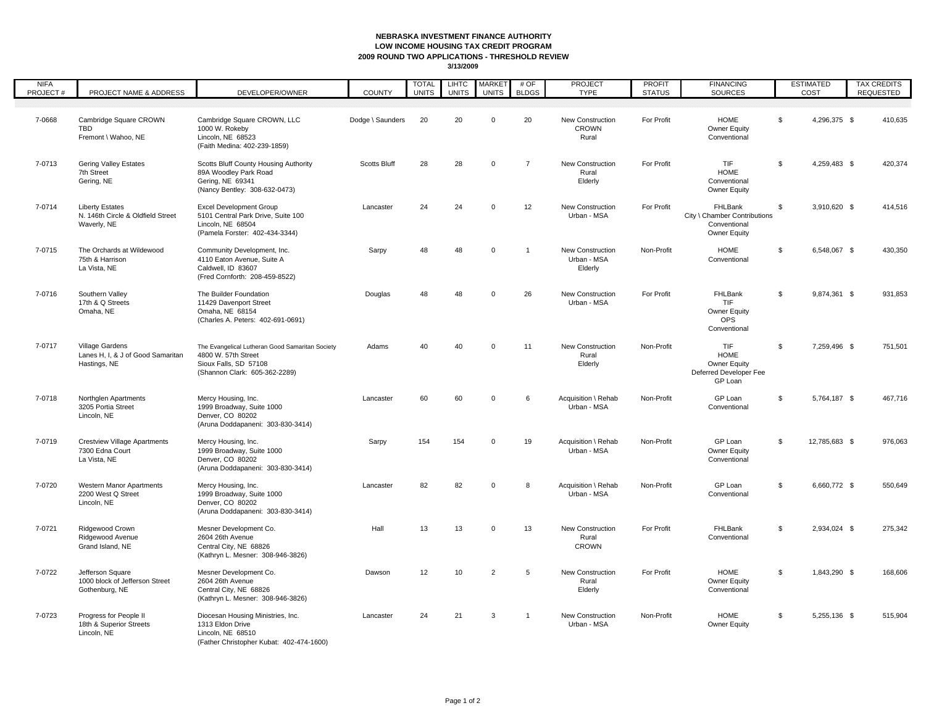## **NEBRASKA INVESTMENT FINANCE AUTHORITY LOW INCOME HOUSING TAX CREDIT PROGRAM 2009 ROUND TWO APPLICATIONS - THRESHOLD REVIEW**

| <b>NIFA</b><br>PROJECT# | PROJECT NAME & ADDRESS                                                     | DEVELOPER/OWNER                                                                                                                  | <b>COUNTY</b>    | <b>TOTAL</b><br><b>UNITS</b> | <b>LIHTC</b><br><b>UNITS</b> | <b>MARKET</b><br><b>UNITS</b> | #OF<br><b>BLDGS</b> | PROJECT<br><b>TYPE</b>                           | <b>PROFIT</b><br><b>STATUS</b> | <b>FINANCING</b><br><b>SOURCES</b>                                      | <b>ESTIMATED</b><br>COST | <b>TAX CREDITS</b><br>REQUESTED |
|-------------------------|----------------------------------------------------------------------------|----------------------------------------------------------------------------------------------------------------------------------|------------------|------------------------------|------------------------------|-------------------------------|---------------------|--------------------------------------------------|--------------------------------|-------------------------------------------------------------------------|--------------------------|---------------------------------|
|                         |                                                                            |                                                                                                                                  |                  |                              |                              |                               |                     |                                                  |                                |                                                                         |                          |                                 |
| 7-0668                  | Cambridge Square CROWN<br><b>TBD</b><br>Fremont \ Wahoo, NE                | Cambridge Square CROWN, LLC<br>1000 W. Rokeby<br>Lincoln, NE 68523<br>(Faith Medina: 402-239-1859)                               | Dodge \ Saunders | 20                           | 20                           | $\Omega$                      | 20                  | New Construction<br><b>CROWN</b><br>Rural        | For Profit                     | HOME<br>Owner Equity<br>Conventional                                    | \$<br>4,296,375 \$       | 410,635                         |
| 7-0713                  | <b>Gering Valley Estates</b><br>7th Street<br>Gering, NE                   | Scotts Bluff County Housing Authority<br>89A Woodley Park Road<br>Gering, NE 69341<br>(Nancy Bentley: 308-632-0473)              | Scotts Bluff     | 28                           | 28                           | $\mathbf 0$                   | $\overline{7}$      | New Construction<br>Rural<br>Elderly             | For Profit                     | TIF<br><b>HOME</b><br>Conventional<br>Owner Equity                      | 4,259,483 \$<br>\$       | 420,374                         |
| 7-0714                  | <b>Liberty Estates</b><br>N. 146th Circle & Oldfield Street<br>Waverly, NE | <b>Excel Development Group</b><br>5101 Central Park Drive, Suite 100<br>Lincoln, NE 68504<br>(Pamela Forster: 402-434-3344)      | Lancaster        | 24                           | 24                           | $\mathbf 0$                   | 12                  | New Construction<br>Urban - MSA                  | For Profit                     | FHLBank<br>City \ Chamber Contributions<br>Conventional<br>Owner Equity | \$<br>3,910,620 \$       | 414,516                         |
| 7-0715                  | The Orchards at Wildewood<br>75th & Harrison<br>La Vista, NE               | Community Development, Inc.<br>4110 Eaton Avenue, Suite A<br>Caldwell. ID 83607<br>(Fred Cornforth: 208-459-8522)                | Sarpy            | 48                           | 48                           | $\mathbf 0$                   | $\overline{1}$      | New Construction<br>Urban - MSA<br>Elderly       | Non-Profit                     | <b>HOME</b><br>Conventional                                             | \$<br>6,548,067 \$       | 430,350                         |
| 7-0716                  | Southern Valley<br>17th & Q Streets<br>Omaha, NE                           | The Builder Foundation<br>11429 Davenport Street<br>Omaha, NE 68154<br>(Charles A. Peters: 402-691-0691)                         | Douglas          | 48                           | 48                           | $\Omega$                      | 26                  | New Construction<br>Urban - MSA                  | For Profit                     | FHLBank<br>TIF<br>Owner Equity<br>OPS<br>Conventional                   | S.<br>9,874,361 \$       | 931,853                         |
| 7-0717                  | Village Gardens<br>Lanes H, I, & J of Good Samaritan<br>Hastings, NE       | The Evangelical Lutheran Good Samaritan Society<br>4800 W. 57th Street<br>Sioux Falls, SD 57108<br>(Shannon Clark: 605-362-2289) | Adams            | 40                           | 40                           | $\overline{0}$                | 11                  | New Construction<br>Rural<br>Elderly             | Non-Profit                     | <b>TIF</b><br>HOME<br>Owner Equity<br>Deferred Developer Fee<br>GP Loan | \$<br>7,259,496 \$       | 751,501                         |
| 7-0718                  | Northglen Apartments<br>3205 Portia Street<br>Lincoln, NE                  | Mercy Housing, Inc.<br>1999 Broadway, Suite 1000<br>Denver, CO 80202<br>(Aruna Doddapaneni: 303-830-3414)                        | Lancaster        | 60                           | 60                           | $\mathbf 0$                   | 6                   | Acquisition \ Rehab<br>Urban - MSA               | Non-Profit                     | GP Loan<br>Conventional                                                 | 5,764,187 \$<br>\$       | 467,716                         |
| 7-0719                  | <b>Crestview Village Apartments</b><br>7300 Edna Court<br>La Vista, NE     | Mercy Housing, Inc.<br>1999 Broadway, Suite 1000<br>Denver, CO 80202<br>(Aruna Doddapaneni: 303-830-3414)                        | Sarpy            | 154                          | 154                          | $\mathbf 0$                   | 19                  | Acquisition \ Rehab<br>Urban - MSA               | Non-Profit                     | GP Loan<br>Owner Equity<br>Conventional                                 | S.<br>12,785,683 \$      | 976,063                         |
| 7-0720                  | Western Manor Apartments<br>2200 West Q Street<br>Lincoln, NE              | Mercy Housing, Inc.<br>1999 Broadway, Suite 1000<br>Denver, CO 80202<br>(Aruna Doddapaneni: 303-830-3414)                        | Lancaster        | 82                           | 82                           | $\mathbf 0$                   | 8                   | Acquisition \ Rehab<br>Urban - MSA               | Non-Profit                     | GP Loan<br>Conventional                                                 | S.<br>6,660,772 \$       | 550,649                         |
| 7-0721                  | Ridgewood Crown<br>Ridgewood Avenue<br>Grand Island, NE                    | Mesner Development Co.<br>2604 26th Avenue<br>Central City, NE 68826<br>(Kathryn L. Mesner: 308-946-3826)                        | Hall             | 13                           | 13                           | $\mathbf 0$                   | 13                  | <b>New Construction</b><br>Rural<br><b>CROWN</b> | For Profit                     | FHLBank<br>Conventional                                                 | S.<br>2,934,024 \$       | 275,342                         |
| 7-0722                  | Jefferson Square<br>1000 block of Jefferson Street<br>Gothenburg, NE       | Mesner Development Co.<br>2604 26th Avenue<br>Central City, NE 68826<br>(Kathryn L. Mesner: 308-946-3826)                        | Dawson           | 12                           | 10                           | $\overline{2}$                | 5                   | New Construction<br>Rural<br>Elderly             | For Profit                     | HOME<br>Owner Equity<br>Conventional                                    | 1,843,290 \$<br>\$       | 168,606                         |
| 7-0723                  | Progress for People II<br>18th & Superior Streets<br>Lincoln, NE           | Diocesan Housing Ministries, Inc.<br>1313 Eldon Drive<br>Lincoln, NE 68510<br>(Father Christopher Kubat: 402-474-1600)           | Lancaster        | 24                           | 21                           | 3                             | $\mathbf{1}$        | New Construction<br>Urban - MSA                  | Non-Profit                     | <b>HOME</b><br>Owner Equity                                             | 5,255,136 \$<br>\$       | 515,904                         |